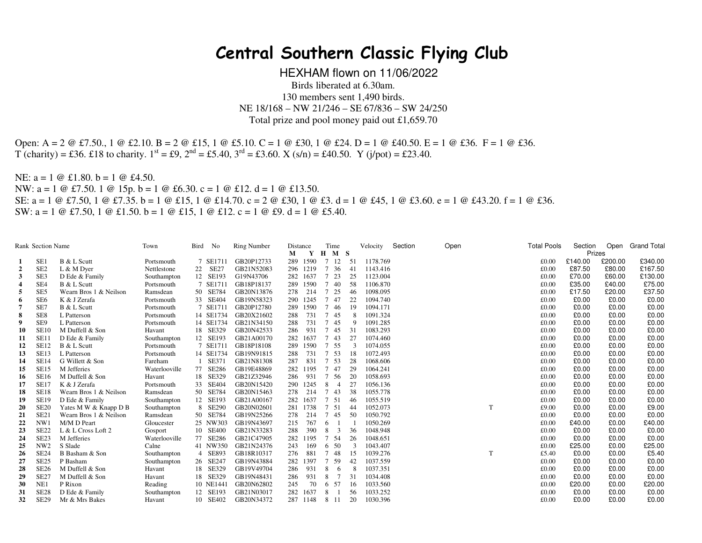## **Central Southern Classic Flying Club**

HEXHAM flown on 11/06/2022 Birds liberated at 6.30am. 130 members sent 1,490 birds. NE 18/168 – NW 21/246 – SE 67/836 – SW 24/250 Total prize and pool money paid out £1,659.70

Open: A = 2 @ £7.50., 1 @ £2.10. B = 2 @ £15, 1 @ £5.10. C = 1 @ £30, 1 @ £24. D = 1 @ £40.50. E = 1 @ £36. F = 1 @ £36.  $T$  (charity) = £36. £18 to charity.  $1^{st}$  = £9,  $2^{nd}$  = £5.40,  $3^{rd}$  = £3.60. X (s/n) = £40.50. Y (j/pot) = £23.40.

NE: a = 1 @ £1.80. b = 1 @ £4.50. NW: a = 1 @ £7.50. 1 @ 15p. b = 1 @ £6.30. c = 1 @ £12. d = 1 @ £13.50. SE: a = 1 @ £7.50, 1 @ £7.35. b = 1 @ £15, 1 @ £14.70. c = 2 @ £30, 1 @ £3. d = 1 @ £45, 1 @ £3.60. e = 1 @ £43.20. f = 1 @ £36. SW:  $a = 1 \oplus \text{\pounds}7.50$ ,  $1 \oplus \text{\pounds}1.50$ .  $b = 1 \oplus \text{\pounds}15$ ,  $1 \oplus \text{\pounds}12$ .  $c = 1 \oplus \text{\pounds}9$ .  $d = 1 \oplus \text{\pounds}5.40$ .

| <b>Rank Section Name</b> |                  | Town                   | Bird          | No | <b>Ring Number</b> | Distance   |     | Time     |                       | Velocity | Section  | Open |  | <b>Total Pools</b> | Section |         | Open Grand Total |         |
|--------------------------|------------------|------------------------|---------------|----|--------------------|------------|-----|----------|-----------------------|----------|----------|------|--|--------------------|---------|---------|------------------|---------|
|                          |                  |                        |               |    |                    |            | М   | Y        | $H$ $M$ $S$           |          |          |      |  |                    |         | Prizes  |                  |         |
|                          | SE <sub>1</sub>  | B & L Scutt            | Portsmouth    |    | 7 SE1711           | GB20P12733 |     | 289 1590 | 7 12                  | 51       | 1178.769 |      |  |                    | £0.00   | £140.00 | £200.00          | £340.00 |
| $\overline{2}$           | SE <sub>2</sub>  | L & M Dyer             | Nettlestone   |    | 22 SE27            | GB21N52083 |     | 296 1219 | 7 36                  | 41       | 1143.416 |      |  |                    | £0.00   | £87.50  | £80.00           | £167.50 |
| 3                        | SE3              | D Ede & Family         | Southampton   |    | 12 SE193           | G19N43706  | 282 | 1637     | 7 23                  | 25       | 1123.004 |      |  |                    | £0.00   | £70.00  | £60.00           | £130.00 |
| 4                        | SE4              | B & L Scutt            | Portsmouth    |    | 7 SE1711           | GB18P18137 | 289 | 1590     | 40                    | 58       | 1106.870 |      |  |                    | £0.00   | £35.00  | £40.00           | £75.00  |
| 5                        | SE <sub>5</sub>  | Wearn Bros 1 & Neilson | Ramsdean      |    | 50 SE784           | GB20N13876 | 278 | 214      | 7 25                  | 46       | 1098.095 |      |  |                    | £0.00   | £17.50  | £20.00           | £37.50  |
| 6                        | SE <sub>6</sub>  | K & J Zerafa           | Portsmouth    |    | 33 SE404           | GB19N58323 | 290 | 1245     | 7 47                  | 22       | 1094.740 |      |  |                    | £0.00   | £0.00   | £0.00            | £0.00   |
|                          | SE7              | B & L Scutt            | Portsmouth    |    | 7 SE1711           | GB20P12780 | 289 | 1590     | 7 46                  | 19       | 1094.171 |      |  |                    | £0.00   | £0.00   | £0.00            | £0.00   |
| 8                        | SE8              | L Patterson            | Portsmouth    |    | 14 SE1734          | GB20X21602 | 288 | 731      | 7 45                  | -8       | 1091.324 |      |  |                    | £0.00   | £0.00   | £0.00            | £0.00   |
| 9                        | SE9              | L Patterson            | Portsmouth    |    | 14 SE1734          | GB21N34150 | 288 | 731      | 7 45                  | 9        | 1091.285 |      |  |                    | £0.00   | £0.00   | £0.00            | £0.00   |
| 10                       | <b>SE10</b>      | M Duffell & Son        | Havant        |    | 18 SE329           | GB20N42533 | 286 | 931      | 7 45                  | 31       | 1083.293 |      |  |                    | £0.00   | £0.00   | £0.00            | £0.00   |
| 11                       | <b>SE11</b>      | D Ede & Family         | Southampton   |    | 12 SE193           | GB21A00170 | 282 | 1637     | 7 43                  | 27       | 1074.460 |      |  |                    | £0.00   | £0.00   | £0.00            | £0.00   |
| 12                       | <b>SE12</b>      | B & L Scutt            | Portsmouth    |    | 7 SE1711           | GB18P18108 | 289 | 1590     | 7 55                  |          | 1074.055 |      |  |                    | £0.00   | £0.00   | £0.00            | £0.00   |
| 13                       | SE13             | L Patterson            | Portsmouth    |    | 14 SE1734          | GB19N91815 | 288 | 731      | 7 53                  | 18       | 1072.493 |      |  |                    | £0.00   | £0.00   | £0.00            | £0.00   |
| 14                       | <b>SE14</b>      | G Willett & Son        | Fareham       |    | 1 SE371            | GB21N81308 | 287 | 831      | 7 53                  | 28       | 1068.606 |      |  |                    | £0.00   | £0.00   | £0.00            | £0.00   |
| 15                       | <b>SE15</b>      | M Jefferies            | Waterlooville |    | 77 SE286           | GB19E48869 | 282 | 1195     | 47<br>$7^{\circ}$     | 29       | 1064.241 |      |  |                    | £0.00   | £0.00   | £0.00            | £0.00   |
| 16                       | <b>SE16</b>      | M Duffell & Son        | Havant        |    | 18 SE329           | GB21Z32946 | 286 | 931      | 7 56                  | 20       | 1058.693 |      |  |                    | £0.00   | £0.00   | £0.00            | £0.00   |
| 17                       | <b>SE17</b>      | K & J Zerafa           | Portsmouth    |    | 33 SE404           | GB20N15420 | 290 | 1245     | $\overline{4}$<br>8   | 27       | 1056.136 |      |  |                    | £0.00   | £0.00   | £0.00            | £0.00   |
| 18                       | <b>SE18</b>      | Wearn Bros 1 & Neilson | Ramsdean      |    | 50 SE784           | GB20N15463 | 278 | 214      | 7 43                  | 38       | 1055.778 |      |  |                    | £0.00   | £0.00   | £0.00            | £0.00   |
| 19                       | <b>SE19</b>      | D Ede & Family         | Southampton   |    | 12 SE193           | GB21A00167 | 282 | 1637     | 7 51                  | 46       | 1055.519 |      |  |                    | £0.00   | £0.00   | £0.00            | £0.00   |
| 20                       | <b>SE20</b>      | Yates M W & Knapp D B  | Southampton   |    | 8 SE290            | GB20N02601 | 281 | 1738     | 7 51                  | 44       | 1052.073 |      |  | T                  | £9.00   | £0.00   | £0.00            | £9.00   |
| 21                       | SE <sub>21</sub> | Wearn Bros 1 & Neilson | Ramsdean      |    | 50 SE784           | GB19N25266 | 278 | 214      | 7 45                  | 50       | 1050.792 |      |  |                    | £0.00   | £0.00   | £0.00            | £0.00   |
| 22                       | NW1              | M/M D Peart            | Gloucester    |    | 25 NW303           | GB19N43697 | 215 | 767      | 6                     |          | 1050.269 |      |  |                    | £0.00   | £40.00  | £0.00            | £40.00  |
| 23                       | <b>SE22</b>      | $L & L$ Cross Loft 2   | Gosport       |    | 10 SE400           | GB21N33283 | 288 | 390      | 3<br>8                | 36       | 1048.948 |      |  |                    | £0.00   | £0.00   | £0.00            | £0.00   |
| 24                       | SE <sub>23</sub> | M Jefferies            | Waterlooville |    | 77 SE286           | GB21C47905 | 282 | 1195     | $7^{\circ}$<br>54     | 26       | 1048.651 |      |  |                    | £0.00   | £0.00   | £0.00            | £0.00   |
| 25                       | NW <sub>2</sub>  | S Slade                | Calne         |    | 41 NW350           | GB21N24376 | 243 | 169      | 6 50                  | -3       | 1043.407 |      |  |                    | £0.00   | £25.00  | £0.00            | £25.00  |
| 26                       | SE24             | B Basham & Son         | Southampton   |    | 4 SE893            | GB18R10317 | 276 | 881      | 48                    | -15      | 1039.276 |      |  | T                  | £5.40   | £0.00   | £0.00            | £5.40   |
| 27                       | SE <sub>25</sub> | P Basham               | Southampton   |    | 26 SE247           | GB19N43884 | 282 | 1397     | 7 59                  | 42       | 1037.559 |      |  |                    | £0.00   | £0.00   | £0.00            | £0.00   |
| 28                       | <b>SE26</b>      | M Duffell & Son        | Havant        |    | 18 SE329           | GB19V49704 | 286 | 931      | 8<br>6                | 8        | 1037.351 |      |  |                    | £0.00   | £0.00   | £0.00            | £0.00   |
| 29                       | SE <sub>27</sub> | M Duffell & Son        | Havant        |    | 18 SE329           | GB19N48431 | 286 | 931      | $7\phantom{.0}$<br>-8 | 31       | 1034.408 |      |  |                    | £0.00   | £0.00   | £0.00            | £0.00   |
| 30                       | NE1              | P Rixon                | Reading       |    | 10 NE1441          | GB20N62802 | 245 | 70       | 6 57                  | -16      | 1033.560 |      |  |                    | £0.00   | £20.00  | £0.00            | £20.00  |
| 31                       | SE <sub>28</sub> | D Ede & Family         | Southampton   |    | 12 SE193           | GB21N03017 | 282 | 1637     | 8                     | 56       | 1033.252 |      |  |                    | £0.00   | £0.00   | £0.00            | £0.00   |
| 32                       | <b>SE29</b>      | Mr & Mrs Bakes         | Havant        |    | 10 SE402           | GB20N34372 | 287 | 1148     | 8 11                  | 20       | 1030.396 |      |  |                    | £0.00   | £0.00   | £0.00            | £0.00   |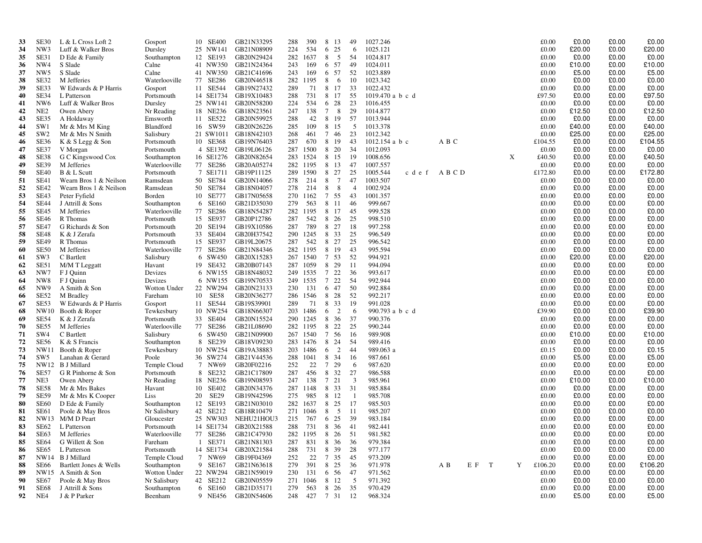| 33       | SE30                       | L & L Cross Loft 2                               | Gosport                | 10 SE400             | GB21N33295                       | 288        | 390                  | 8 13                    | 49                   | 1027.246             |       |       |   | £0.00          | £0.00          | £0.00          | £0.00          |
|----------|----------------------------|--------------------------------------------------|------------------------|----------------------|----------------------------------|------------|----------------------|-------------------------|----------------------|----------------------|-------|-------|---|----------------|----------------|----------------|----------------|
| 34       | NW3                        | Luff & Walker Bros                               | Dursley                | 25 NW141             | GB21N08909                       | 224        | 534                  | 25<br>6                 | 6                    | 1025.121             |       |       |   | £0.00          | £20.00         | £0.00          | £20.00         |
| 35       | SE31                       | D Ede & Family                                   | Southampton            | 12 SE193             | GB20N29424                       | 282        | 1637                 | 8<br>$5\phantom{0}$     | -54                  | 1024.817             |       |       |   | £0.00          | £0.00          | £0.00          | £0.00          |
| 36       | NW4                        | S Slade                                          | Calne                  | 41 NW350             | GB21N24364                       | 243        | 169                  | 6 57                    | 49                   | 1024.011             |       |       |   | £0.00          | £10.00         | £0.00          | £10.00         |
| 37       | NW <sub>5</sub>            | S Slade                                          | Calne                  | 41 NW350             | GB21C41696                       | 243        | 169                  | 6 57                    | 52                   | 1023.889             |       |       |   | £0.00          | £5.00          | £0.00          | £5.00          |
| 38       | SE32                       | M Jefferies                                      | Waterlooville          | 77 SE286             | GB20N46518                       |            | 282 1195             | 8<br>-6                 | 10                   | 1023.342             |       |       |   | £0.00          | £0.00          | £0.00          | £0.00          |
| 39       | SE33                       | W Edwards & P Harris                             | Gosport                | 11 SE544             | GB19N27432                       | 289        | 71                   | 8 17                    | 33                   | 1022.432             |       |       |   | £0.00          | £0.00          | £0.00          | £0.00          |
| 40       | SE34                       | L Patterson                                      | Portsmouth             | 14 SE1734            | GB19X10483                       | 288        | 731                  | 8 17                    | 55                   | 1019.470 a b c d     |       |       |   | £97.50         | £0.00          | £0.00          | £97.50         |
| 41       | NW <sub>6</sub>            | Luff & Walker Bros                               | Dursley                | 25 NW141             | GB20N58200                       | 224        | 534                  | 28<br>6                 | 23                   | 1016.455             |       |       |   | £0.00          | £0.00          | £0.00          | £0.00          |
| 42       | NE <sub>2</sub>            | Owen Abery                                       | Nr Reading             | 18 NE236             | GB18N23561                       | 247        | 138                  | 8<br>$7\phantom{.0}$    | 29                   | 1014.877             |       |       |   | £0.00          | £12.50         | £0.00          | £12.50         |
| 43       | SE35                       | A Holdaway                                       | Emsworth               | 11 SE522             | GB20N59925                       | 288        | 42                   | 8 19                    | 57                   | 1013.944             |       |       |   | £0.00          | £0.00          | £0.00          | £0.00          |
| 44       | SW1                        | Mr & Mrs M King                                  | Blandford              | 16 SW59              | GB20N26226                       | 285        | 109                  | 8 15                    | - 5                  | 1013.378             |       |       |   | £0.00          | £40.00         | £0.00          | £40.00         |
| 45       | SW <sub>2</sub>            | Mr & Mrs N Smith                                 | Salisbury              | 21 SW1011            | GB18N42103                       | 268        | 461                  | 7 46                    | 23                   | 1012.342             |       |       |   | £0.00          | £25.00         | £0.00          | £25.00         |
| 46       | <b>SE36</b>                | K & S Legg & Son                                 | Portsmouth             | 10 SE368             | GB19N76403                       | 287        | 670                  | 8 19                    | 43                   | $1012.154$ a b c     | A B C |       |   | £104.55        | £0.00          | £0.00          | £104.55        |
| 47       | SE37                       | V Morgan                                         | Portsmouth             | 4 SE1392             | GB19L06126                       |            | 287 1500             | 8 20                    | 34                   | 1012.093             |       |       |   | £0.00          | £0.00          | £0.00          | £0.00          |
| 48       | <b>SE38</b>                | G C Kingswood Cox                                | Southampton            | 16 SE1276            | GB20N82654                       |            | 283 1524             | 8 15                    | -19                  | 1008.656             |       |       | X | £40.50         | £0.00          | £0.00          | £40.50         |
| 49       | <b>SE39</b>                | M Jefferies                                      | Waterlooville          | 77 SE286             | GB20A05274                       |            | 282 1195             | 8 13                    | 47                   | 1007.557             |       |       |   | £0.00          | £0.00          | £0.00          | £0.00          |
| 50       | <b>SE40</b><br><b>SE41</b> | B & L Scutt                                      | Portsmouth             | 7 SE1711             | GB19P11125                       | 289        | 1590                 | 8 27<br>$\overline{7}$  | 25                   | 1005.544<br>c d e f  | ABCD  |       |   | £172.80        | £0.00          | £0.00          | £172.80        |
| 51<br>52 | <b>SE42</b>                | Wearn Bros 1 & Neilson<br>Wearn Bros 1 & Neilson | Ramsdean               | 50 SE784<br>50 SE784 | GB20N14066                       | 278<br>278 | 214                  | 8<br>8<br>8             | 47<br>$\overline{4}$ | 1003.507<br>1002.924 |       |       |   | £0.00<br>£0.00 | £0.00<br>£0.00 | £0.00<br>£0.00 | £0.00<br>£0.00 |
| 53       | SE43                       | Peter Fyfield                                    | Ramsdean<br>Borden     | 10 SE777             | GB18N04057<br>GB17N05658         |            | 214<br>270 1162      | 7 55                    | 43                   | 1001.357             |       |       |   | £0.00          | £0.00          | £0.00          | £0.00          |
| 54       | <b>SE44</b>                | J Attrill & Sons                                 | Southampton            | 6 SE160              | GB21D35030                       | 279        | 563                  | 8 11                    | 46                   | 999.667              |       |       |   | £0.00          | £0.00          | £0.00          | £0.00          |
| 55       | <b>SE45</b>                | M Jefferies                                      | Waterlooville          | 77 SE286             | GB18N54287                       |            | 282 1195             | 8 17                    | 45                   | 999.528              |       |       |   | £0.00          | £0.00          | £0.00          | £0.00          |
| 56       | <b>SE46</b>                | R Thomas                                         | Portsmouth             | 15 SE937             | GB20P12786                       | 287        | 542                  | 8 26                    | 25                   | 998.510              |       |       |   | £0.00          | £0.00          | £0.00          | £0.00          |
| 57       | <b>SE47</b>                | G Richards & Son                                 | Portsmouth             | 20 SE194             | GB19X10586                       | 287        | 789                  | 8 27                    | 18                   | 997.258              |       |       |   | £0.00          | £0.00          | £0.00          | £0.00          |
| 58       | <b>SE48</b>                | K & J Zerafa                                     | Portsmouth             | 33 SE404             | GB20H37542                       |            | 290 1245             | 8 3 3                   | 25                   | 996.549              |       |       |   | £0.00          | £0.00          | £0.00          | £0.00          |
| 59       | <b>SE49</b>                | R Thomas                                         | Portsmouth             | 15 SE937             | GB19L20675                       | 287        | 542                  | 8 27                    | 25                   | 996.542              |       |       |   | £0.00          | £0.00          | £0.00          | £0.00          |
| 60       | <b>SE50</b>                | M Jefferies                                      | Waterlooville          | 77 SE286             | GB21N84346                       | 282        | 1195                 | 8 19                    | 43                   | 995.594              |       |       |   | £0.00          | £0.00          | £0.00          | £0.00          |
| 61       | SW <sub>3</sub>            | C Bartlett                                       | Salisbury              | 6 SW450              | GB20X15283                       |            | 267 1540             | 7 53                    | 52                   | 994.921              |       |       |   | £0.00          | £20.00         | £0.00          | £20.00         |
| 62       | SE51                       | M/M T Leggatt                                    | Havant                 | 19 SE432             | GB20B07143                       | 287        | 1059                 | 8 29                    | -11                  | 994.094              |       |       |   | £0.00          | £0.00          | £0.00          | £0.00          |
| 63       | NW7                        | F J Quinn                                        | Devizes                | 6 NW155              | GB18N48032                       |            | 249 1535             | 7 22                    | 36                   | 993.617              |       |       |   | £0.00          | £0.00          | £0.00          | £0.00          |
| 64       | NW <sub>8</sub>            | F J Quinn                                        | Devizes                | 6 NW155              | GB19N70533                       | 249        | 1535                 | 7 22                    | 54                   | 992.944              |       |       |   | £0.00          | £0.00          | £0.00          | £0.00          |
| 65       | NW <sub>9</sub>            | A Smith & Son                                    | Wotton Under           | 22 NW294             | GB20N23133                       | 230        | 131                  | 6 47                    | -50                  | 992.884              |       |       |   | £0.00          | £0.00          | £0.00          | £0.00          |
| 66       | <b>SE52</b>                | M Bradley                                        | Fareham                | 10 SE58              | GB20N36277                       | 286        | 1546                 | 8<br>28                 | 52                   | 992.217              |       |       |   | £0.00          | £0.00          | £0.00          | £0.00          |
| 67       | SE53                       | W Edwards & P Harris                             | Gosport                | 11 SE544             | GB19S39901                       | 289        | 71                   | 8 3 3                   | 19                   | 991.028              |       |       |   | £0.00          | £0.00          | £0.00          | £0.00          |
| 68       | NW10                       | Booth & Roper                                    | Tewkesbury             | 10 NW254             | GB18N66307                       |            | 203 1486             | $\overline{2}$<br>6     | 6                    | 990.793 a b c d      |       |       |   | £39.90         | £0.00          | £0.00          | £39.90         |
| 69       | <b>SE54</b>                | K & J Zerafa                                     | Portsmouth             | 33 SE404             | GB20N15524                       |            | 290 1245             | 8 36                    | 37                   | 990.376              |       |       |   | £0.00          | £0.00          | £0.00          | £0.00          |
| 70       | <b>SE55</b>                | M Jefferies                                      | Waterlooville          | 77 SE286             | GB21L08690                       |            | 282 1195             | 22<br>8                 | 25                   | 990.244              |       |       |   | £0.00          | £0.00          | £0.00          | £0.00          |
| 71       | SW <sub>4</sub>            | C Bartlett                                       | Salisbury              | 6 SW450              | GB21N09900                       |            | 267 1540             | 7 56                    | -16                  | 989.908              |       |       |   | £0.00          | £10.00         | £0.00          | £10.00         |
| 72<br>73 | <b>SE56</b><br>NW11        | K & S Francis                                    | Southampton            | 8 SE239<br>10 NW254  | GB18V09230<br>GB19A38883         |            | 283 1476<br>203 1486 | 8 24<br>2<br>6          | -54<br>44            | 989.416<br>989.063 a |       |       |   | £0.00<br>£0.15 | £0.00<br>£0.00 | £0.00<br>£0.00 | £0.00<br>£0.15 |
| 74       | SW <sub>5</sub>            | Booth & Roper<br>Lanahan & Gerard                | Tewkesbury<br>Poole    | 36 SW274             | GB21V44536                       |            | 288 1041             | 8 34                    | -16                  | 987.661              |       |       |   | £0.00          | £5.00          | £0.00          | £5.00          |
| 75       |                            | NW12 B J Millard                                 | Temple Cloud           | 7 NW69               | GB20F02216                       | 252        | 22                   | $7\phantom{.0}$<br>29   | 6                    | 987.620              |       |       |   | £0.00          | £0.00          | £0.00          | £0.00          |
| 76       | SE57                       | G R Pinhorne & Son                               | Portsmouth             | 8 SE232              | GB21C17809                       | 287        | 456                  | 8 32                    | 27                   | 986.588              |       |       |   | £0.00          | £0.00          | £0.00          | £0.00          |
| 77       | NE3                        | Owen Abery                                       | Nr Reading             | 18 NE236             | GB19N08593                       | 247        | 138                  | 7 21                    | 3                    | 985.961              |       |       |   | £0.00          | £10.00         | £0.00          | £10.00         |
| 78       | <b>SE58</b>                | Mr & Mrs Bakes                                   | Havant                 | 10 SE402             | GB20N34376                       | 287        | 1148                 | 8 3 3                   | 31                   | 985.884              |       |       |   | £0.00          | £0.00          | £0.00          | £0.00          |
| 79       | <b>SE59</b>                | Mr & Mrs K Cooper                                | Liss                   | SE29<br>20           | GB19N42596                       | 275        | 985                  | 8 12                    | - 1                  | 985.708              |       |       |   | £0.00          | £0.00          | £0.00          | £0.00          |
| 80       | <b>SE60</b>                | D Ede & Family                                   | Southampton            | 12 SE193             | GB21N03010                       | 282        | 1637                 | 8 25                    | -17                  | 985.503              |       |       |   | £0.00          | £0.00          | £0.00          | £0.00          |
| 81       | SE61                       | Poole & May Bros                                 | Nr Salisbury           | 42 SE212             | GB18R10479                       |            | 271 1046             | 8<br>$5^{\circ}$        | - 11                 | 985.207              |       |       |   | £0.00          | £0.00          | £0.00          | £0.00          |
| 82       | NW13                       | M/M D Peart                                      | Gloucester             | 25 NW303             | NEHU21HOU3                       | 215        | 767                  | 6 25                    | -39                  | 983.184              |       |       |   | £0.00          | £0.00          | £0.00          | £0.00          |
| 83       | SE62                       | L Patterson                                      | Portsmouth             |                      | 14 SE1734 GB20X21588             | 288        | 731                  | 8 36                    | -41                  | 982.441              |       |       |   | £0.00          | £0.00          | £0.00          | £0.00          |
| 84       |                            | SE63 M Jefferies                                 | Waterlooville          |                      | 77 SE286 GB21C47930              |            |                      | 282 1195 8 26           | 51                   | 981.582              |       |       |   | £0.00          | £0.00          | £0.00          | £0.00          |
| 85       | SE64                       | G Willett & Son                                  | Fareham                |                      | 1 SE371 GB21N81303               | 287        | 831                  | 8 36                    | 36                   | 979.384              |       |       |   | £0.00          | £0.00          | £0.00          | £0.00          |
| 86       | SE65                       | L Patterson                                      | Portsmouth             |                      | 14 SE1734 GB20X21584             | 288        | 731                  | 8 39                    | 28                   | 977.177              |       |       |   | £0.00          | £0.00          | £0.00          | £0.00          |
| 87       |                            | NW14 B J Millard                                 | Temple Cloud           | 7 NW69               | GB19F04369                       | 252        | 22                   | 7 35                    | 45                   | 973.209              |       |       |   | £0.00          | £0.00          | £0.00          | £0.00          |
| 88       | SE66                       | Bartlett Jones & Wells                           | Southampton            | 9 SE167              | GB21N63618                       | 279        | 391                  | 8 25                    | 36                   | 971.978              | A B   | E F T | Y | £106.20        | £0.00          | £0.00          | £106.20        |
| 89       |                            | NW15 A Smith & Son                               | Wotton Under           |                      | 22 NW294 GB21N59019              | 230        | 131                  | 6 56                    | 47                   | 971.562              |       |       |   | £0.00          | £0.00          | £0.00          | £0.00          |
| 90       | SE67                       | Poole & May Bros                                 | Nr Salisbury           | 42 SE212             | GB20N05559                       |            | 271 1046             | 8 12                    | $\overline{5}$       | 971.392              |       |       |   | £0.00          | £0.00          | £0.00          | £0.00          |
| 91<br>92 | SE68<br>NE4                | J Attrill & Sons<br>J & P Parker                 | Southampton<br>Beenham | 6 SE160              | GB21D35171<br>9 NE456 GB20N54606 | 279        | 563                  | 8 26<br>248 427 7 31 12 | 35                   | 970.429<br>968.324   |       |       |   | £0.00<br>£0.00 | £0.00<br>£5.00 | £0.00<br>£0.00 | £0.00<br>£5.00 |
|          |                            |                                                  |                        |                      |                                  |            |                      |                         |                      |                      |       |       |   |                |                |                |                |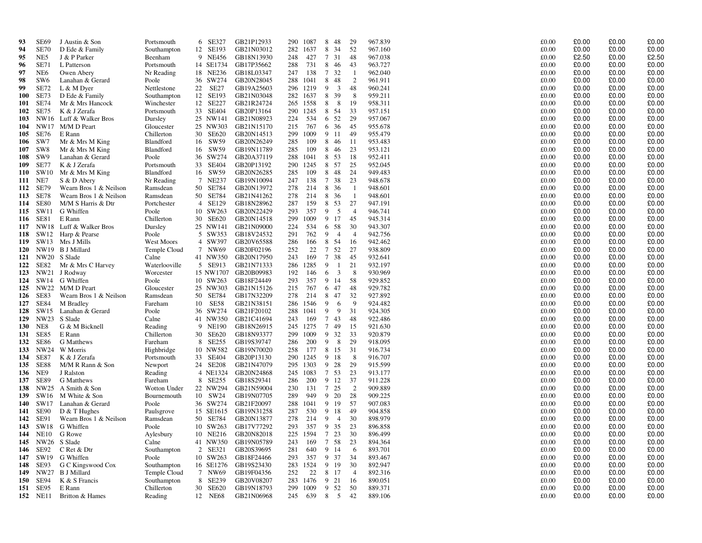| 93         | <b>SE69</b>     | J Austin & Son          | Portsmouth    |    | 6 SE327   | GB21P12933 | 290 | 1087 | 8 48            |                | 29             | 967.839 | £0.00 | £0.00 | £0.00 | £0.00 |
|------------|-----------------|-------------------------|---------------|----|-----------|------------|-----|------|-----------------|----------------|----------------|---------|-------|-------|-------|-------|
| 94         | <b>SE70</b>     | D Ede & Family          | Southampton   |    | 12 SE193  | GB21N03012 | 282 | 1637 | 8               | 34             | 52             | 967.160 | £0.00 | £0.00 | £0.00 | £0.00 |
| 95         | NE5             | J & P Parker            | Beenham       |    | 9 NE456   | GB18N13930 | 248 | 427  | 7 31            |                | 48             | 967.038 | £0.00 | £2.50 | £0.00 | £2.50 |
| 96         | <b>SE71</b>     | L Patterson             | Portsmouth    |    | 14 SE1734 | GB17P35662 | 288 | 731  | 8 4 6           |                | 43             | 963.727 | £0.00 | £0.00 | £0.00 | £0.00 |
| 97         | NE <sub>6</sub> | Owen Abery              | Nr Reading    |    | 18 NE236  | GB18L03347 | 247 | 138  | 7 32            |                | - 1            | 962.040 | £0.00 | £0.00 | £0.00 | £0.00 |
| 98         | SW <sub>6</sub> | Lanahan & Gerard        | Poole         |    | 36 SW274  | GB20N28045 | 288 | 1041 | 8               | 48             | 2              | 961.911 | £0.00 | £0.00 | £0.00 | £0.00 |
| 99         | <b>SE72</b>     | L & M Dyer              | Nettlestone   |    | 22 SE27   | GB19A25603 | 296 | 1219 | 9               | 3              | 48             | 960.241 | £0.00 | £0.00 | £0.00 | £0.00 |
| <b>100</b> | <b>SE73</b>     | D Ede & Family          | Southampton   |    | 12 SE193  | GB21N03048 | 282 | 1637 | 8               | 39             | 8              | 959.211 | £0.00 | £0.00 | £0.00 | £0.00 |
| 101        | <b>SE74</b>     | Mr & Mrs Hancock        | Winchester    |    | 12 SE227  | GB21R24724 | 265 | 1558 | 8               | 8              | 19             | 958.311 | £0.00 | £0.00 | £0.00 | £0.00 |
| 102        | <b>SE75</b>     | K & J Zerafa            | Portsmouth    |    | 33 SE404  | GB20P13164 | 290 | 1245 | 8               | -54            | 33             | 957.151 | £0.00 | £0.00 | £0.00 | £0.00 |
| 103        | NW16            | Luff & Walker Bros      | Dursley       |    | 25 NW141  | GB21N08923 | 224 | 534  | 6 52            |                | 29             | 957.067 | £0.00 | £0.00 | £0.00 | £0.00 |
| 104        | NW17            | M/M D Peart             | Gloucester    |    | 25 NW303  | GB21N15170 | 215 | 767  | 6               | 36             | 45             | 955.678 | £0.00 | £0.00 | £0.00 | £0.00 |
| 105        | SE76            | E Rann                  | Chillerton    |    | 30 SE620  | GB20N14513 | 299 | 1009 | 9 11            |                | 49             | 955.479 | £0.00 | £0.00 | £0.00 | £0.00 |
| 106        | SW7             | Mr & Mrs M King         | Blandford     | 16 | SW59      | GB20N26249 | 285 | 109  | 8               | 46             | 11             | 953.483 | £0.00 | £0.00 | £0.00 | £0.00 |
| 107        | SW <sub>8</sub> | Mr & Mrs M King         | Blandford     |    | 16 SW59   | GB19N11789 | 285 | 109  | 8 4 6           |                | 23             | 953.121 | £0.00 | £0.00 | £0.00 | £0.00 |
| 108        | SW9             | Lanahan & Gerard        | Poole         |    | 36 SW274  | GB20A37119 | 288 | 1041 | 8               | 53             | 18             | 952.411 | £0.00 | £0.00 | £0.00 | £0.00 |
| 109        | SE77            | K & J Zerafa            | Portsmouth    |    | 33 SE404  | GB20P13192 | 290 | 1245 | 8               | 57             | 25             | 952.045 | £0.00 | £0.00 | £0.00 | £0.00 |
| 110        | SW10            | Mr & Mrs M King         | Blandford     |    | 16 SW59   | GB20N26285 | 285 | 109  | 8               | 48             | 24             | 949.483 | £0.00 | £0.00 | £0.00 | £0.00 |
| 111        | NE7             | S & D Abery             | Nr Reading    |    | 7 NE237   | GB19N10094 | 247 | 138  | 7 38            |                | 23             | 948.678 | £0.00 | £0.00 | £0.00 | £0.00 |
| 112        | <b>SE79</b>     | Wearn Bros 1 & Neilson  | Ramsdean      |    | 50 SE784  | GB20N13972 | 278 | 214  | 8 36            |                | -1             | 948.601 | £0.00 | £0.00 | £0.00 | £0.00 |
| 113        | <b>SE78</b>     | Wearn Bros 1 & Neilson  | Ramsdean      |    | 50 SE784  | GB21N41262 | 278 | 214  | 8 36            |                | $\overline{1}$ | 948.601 | £0.00 | £0.00 | £0.00 | £0.00 |
| 114        | <b>SE80</b>     | M/M S Harris & Dtr      | Portchester   |    | 4 SE129   | GB18N28962 | 287 | 159  | 8               | 53             | 27             | 947.191 | £0.00 | £0.00 | £0.00 | £0.00 |
| 115        | SW11            | G Whiffen               | Poole         |    | 10 SW263  | GB20N22429 | 293 | 357  | 9               | -5             | $\overline{4}$ | 946.741 | £0.00 | £0.00 | £0.00 | £0.00 |
| 116        | SE81            | E Rann                  | Chillerton    |    | 30 SE620  | GB20N14518 | 299 | 1009 | 9 17            |                | 45             | 945.314 | £0.00 | £0.00 | £0.00 | £0.00 |
| 117        |                 | NW18 Luff & Walker Bros | Dursley       |    | 25 NW141  | GB21N09000 | 224 | 534  | 6 58            |                | 30             | 943.307 | £0.00 | £0.00 | £0.00 | £0.00 |
| 118        | SW12            | Harp & Pearse           | Poole         |    | 5 SW353   | GB18V24532 | 291 | 762  | 9               | $\overline{4}$ | $\overline{4}$ | 942.756 | £0.00 | £0.00 | £0.00 | £0.00 |
| 119        | SW13            | Mrs J Mills             | West Moors    |    | 4 SW397   | GB20V65588 | 286 | 166  | 8 54            |                | 16             | 942.462 | £0.00 | £0.00 | £0.00 | £0.00 |
| 120        | NW19            | <b>B</b> J Millard      | Temple Cloud  |    | 7 NW69    | GB20F02196 | 252 | 22   | 7 52            |                | 27             | 938.809 | £0.00 | £0.00 | £0.00 | £0.00 |
| 121        | NW20            | S Slade                 | Calne         |    | 41 NW350  | GB20N17950 | 243 | 169  | $7\phantom{.0}$ | 38             | 45             | 932.641 | £0.00 | £0.00 | £0.00 | £0.00 |
| 122        | SE82            | Mr & Mrs C Harvey       | Waterlooville |    | 5 SE913   | GB21N71333 | 286 | 1285 | 9               | -1             | 21             | 932.197 | £0.00 | £0.00 | £0.00 | £0.00 |
| 123        | NW21            | J Rodway                | Worcester     |    | 15 NW1707 | GB20B09983 | 192 | 146  | 6               | 3              | 8              | 930.969 | £0.00 | £0.00 | £0.00 | £0.00 |
| 124        | SW14            | G Whiffen               | Poole         |    | 10 SW263  | GB18F24449 | 293 | 357  | 9 14            |                | 58             | 929.852 | £0.00 | £0.00 | £0.00 | £0.00 |
| 125        | NW22            | M/M D Peart             | Gloucester    |    | 25 NW303  | GB21N15126 | 215 | 767  | 6               | 47             | 48             | 929.782 | £0.00 | £0.00 | £0.00 | £0.00 |
| 126        | SE83            | Wearn Bros 1 & Neilson  | Ramsdean      |    | 50 SE784  | GB17N32209 | 278 | 214  | 8               | 47             | 32             | 927.892 | £0.00 | £0.00 | £0.00 | £0.00 |
| 127        | <b>SE84</b>     | M Bradley               | Fareham       | 10 | SE58      | GB21N38151 | 286 | 1546 | 9               | 6              | 9              | 924.482 | £0.00 | £0.00 | £0.00 | £0.00 |
| 128        | SW15            | Lanahan & Gerard        | Poole         |    | 36 SW274  | GB21F20102 | 288 | 1041 | 9               | 9              | 31             | 924.305 | £0.00 | £0.00 | £0.00 | £0.00 |
| 129        | NW23            | S Slade                 | Calne         |    | 41 NW350  | GB21C41694 | 243 | 169  | $\tau$          | 43             | 48             | 922.486 | £0.00 | £0.00 | £0.00 | £0.00 |
| 130        | NE8             | G & M Bicknell          | Reading       |    | 9 NE190   | GB18N26915 | 245 | 1275 | $7\phantom{.0}$ | 49             | 15             | 921.630 | £0.00 | £0.00 | £0.00 | £0.00 |
| 131        | <b>SE85</b>     | E Rann                  | Chillerton    |    | 30 SE620  | GB18N93377 | 299 | 1009 | 9               | 32             | 33             | 920.879 | £0.00 | £0.00 | £0.00 | £0.00 |
| 132        | <b>SE86</b>     | G Matthews              | Fareham       |    | 8 SE255   | GB19S39747 | 286 | 200  | 9               | 8              | 29             | 918.095 | £0.00 | £0.00 | £0.00 | £0.00 |
| 133        | NW24            | W Morris                | Highbridge    |    | 10 NW582  | GB19N70020 | 258 | 177  | 8               | 15             | 31             | 916.734 | £0.00 | £0.00 | £0.00 | £0.00 |
| 134        | <b>SE87</b>     | K & J Zerafa            | Portsmouth    |    | 33 SE404  | GB20P13130 | 290 | 1245 | 9 18            |                | 8              | 916.707 | £0.00 | £0.00 | £0.00 | £0.00 |
| 135        | <b>SE88</b>     | M/M R Rann & Son        | Newport       |    | 24 SE208  | GB21N47079 | 295 | 1303 | 9 28            |                | 29             | 915.599 | £0.00 | £0.00 | £0.00 | £0.00 |
| 136        | NE9             | J Ralston               | Reading       |    | 4 NE1324  | GB20N24868 | 245 | 1083 | 7 53            |                | 23             | 913.177 | £0.00 | £0.00 | £0.00 | £0.00 |
| 137        | <b>SE89</b>     | G Matthews              | Fareham       |    | 8 SE255   | GB18S29341 | 286 | 200  | 9 12            |                | 37             | 911.228 | £0.00 | £0.00 | £0.00 | £0.00 |
| 138        | NW25            | A Smith & Son           | Wotton Under  |    | 22 NW294  | GB21N59004 | 230 | 131  | 7 25            |                | 2              | 909.889 | £0.00 | £0.00 | £0.00 | £0.00 |
| 139        | SW16            | M White & Son           | Bournemouth   |    | 10 SW24   | GB19N07705 | 289 | 949  | 9               | 20             | 28             | 909.225 | £0.00 | £0.00 | £0.00 | £0.00 |
| 140        | SW17            | Lanahan & Gerard        | Poole         |    | 36 SW274  | GB21F20097 | 288 | 1041 | 9 19            |                | 57             | 907.083 | £0.00 | £0.00 | £0.00 | £0.00 |
| 141        | SE90            | $D & T$ Hughes          | Paulsgrove    |    | 15 SE1615 | GB19N31258 | 287 | 530  | 9 18            |                | 49             | 904.858 | £0.00 | £0.00 | £0.00 | £0.00 |
| 142        | SE91            | Wearn Bros 1 & Neilson  | Ramsdean      |    | 50 SE784  | GB20N13877 | 278 | 214  | 9               | $\overline{4}$ | 30             | 898.979 | £0.00 | £0.00 | £0.00 | £0.00 |
| 143        | SW18            | G Whiffen               | Poole         |    | 10 SW263  | GB17V77292 | 293 | 357  | 9 35            |                | 23             | 896.858 | £0.00 | £0.00 | £0.00 | £0.00 |
| 144        | <b>NE10</b>     | G Rowe                  | Aylesbury     |    | 10 NE216  | GB20N82018 | 225 | 1594 | 7 23            |                | 30             | 896.499 | £0.00 | £0.00 | £0.00 | £0.00 |
| 145        | NW26            | S Slade                 | Calne         |    | 41 NW350  | GB19N05789 | 243 | 169  | 7 58            |                | 23             | 894.364 | £0.00 | £0.00 | £0.00 | £0.00 |
| 146        | SE92            | C Ret & Dtr             | Southampton   |    | 2 SE321   | GB20S39695 | 281 | 640  | 9 14            |                | -6             | 893.701 | £0.00 | £0.00 | £0.00 | £0.00 |
| 147        | SW19            | G Whiffen               | Poole         |    | 10 SW263  | GB18F24466 | 293 | 357  | 9 37            |                | 34             | 893.467 | £0.00 | £0.00 | £0.00 | £0.00 |
| 148        | SE93            | G C Kingswood Cox       | Southampton   |    | 16 SE1276 | GB19S23430 | 283 | 1524 | 9 19            |                | 30             | 892.947 | £0.00 | £0.00 | £0.00 | £0.00 |
| 149        | NW27            | <b>B</b> J Millard      | Temple Cloud  |    | 7 NW69    | GB19F04356 | 252 | 22   | 8 17            |                | $\overline{4}$ | 892.316 | £0.00 | £0.00 | £0.00 | £0.00 |
| 150        | SE94            | K & S Francis           | Southampton   |    | 8 SE239   | GB20V08207 | 283 | 1476 | 9 21            |                | 16             | 890.051 | £0.00 | £0.00 | £0.00 | £0.00 |
| 151        | SE95            | E Rann                  | Chillerton    |    | 30 SE620  | GB19N18793 | 299 | 1009 | 9 52            |                | 50             | 889.371 | £0.00 | £0.00 | £0.00 | £0.00 |
|            | 152 NE11        | Britton & Hames         | Reading       |    | 12 NE68   | GB21N06968 | 245 | 639  | 8               | 5              | 42             | 889.106 | £0.00 | £0.00 | £0.00 | £0.00 |
|            |                 |                         |               |    |           |            |     |      |                 |                |                |         |       |       |       |       |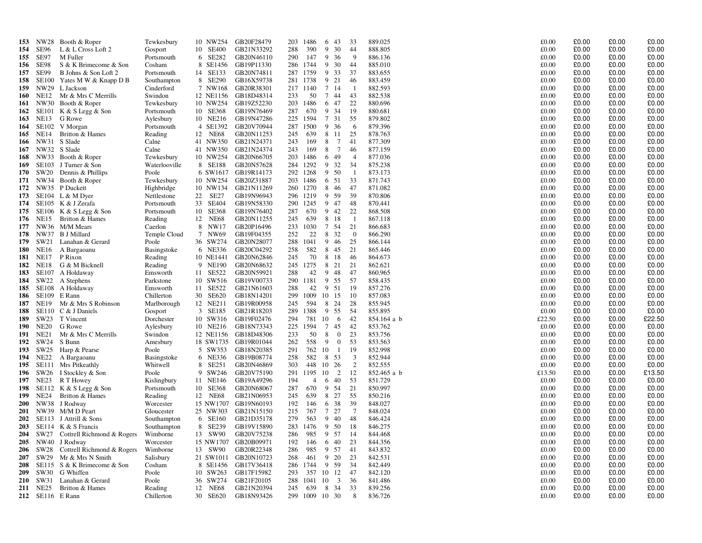| 153        | NW28             | Booth & Roper                | Tewkesbury         |    | 10 NW254  | GB20F28479               | 203 | 1486 | 6<br>43                       | 33             | 889.025     | £0.00  | £0.00 | £0.00 | £0.00  |
|------------|------------------|------------------------------|--------------------|----|-----------|--------------------------|-----|------|-------------------------------|----------------|-------------|--------|-------|-------|--------|
| 154        | SE <sub>96</sub> | $L & L$ Cross Loft 2         | Gosport            |    | 10 SE400  | GB21N33292               | 288 | 390  | 9<br>30                       | 44             | 888.805     | £0.00  | £0.00 | £0.00 | £0.00  |
| 155        | SE97             | M Fuller                     | Portsmouth         |    | 6 SE282   | GB20N46110               | 290 | 147  | 9<br>-36                      | 9              | 886.136     | £0.00  | £0.00 | £0.00 | £0.00  |
| 156        | <b>SE98</b>      | S & K Brimecome & Son        | Cosham             |    | 8 SE1456  | GB19P11330               | 286 | 1744 | 9<br>30                       | 44             | 885.010     | £0.00  | £0.00 | £0.00 | £0.00  |
| 157        | SE99             | B Johns & Son Loft 2         | Portsmouth         |    | 14 SE133  | GB20N74811               | 287 | 1759 | 9<br>33                       | 37             | 883.655     | £0.00  | £0.00 | £0.00 | £0.00  |
| 158        | <b>SE100</b>     | Yates M W & Knapp D B        | Southampton        |    | 8 SE290   | GB16X59738               | 281 | 1738 | 9<br>21                       | 46             | 883.459     | £0.00  | £0.00 | £0.00 | £0.00  |
| 159        | NW29             | L Jackson                    | Cinderford         |    | 7 NW168   | GB20R38301               | 217 | 1140 | 7 14                          | - 1            | 882.593     | £0.00  | £0.00 | £0.00 | £0.00  |
| 160        | NE12             | Mr & Mrs C Merrills          | Swindon            |    | 12 NE1156 | GB18D48314               | 233 | 50   | 7 44                          | 43             | 882.538     | £0.00  | £0.00 | £0.00 | £0.00  |
| 161        | NW30             | Booth & Roper                | Tewkesbury         |    | 10 NW254  | GB19Z52230               | 203 | 1486 | 47<br>6                       | 22             | 880.696     | £0.00  | £0.00 | £0.00 | £0.00  |
| 162        | SE101            | K & S Legg & Son             | Portsmouth         |    | 10 SE368  | GB19N76469               | 287 | 670  | 9<br>34                       | 19             | 880.681     | £0.00  | £0.00 | £0.00 | £0.00  |
| 163        | <b>NE13</b>      | G Rowe                       | Aylesbury          |    | 10 NE216  | GB19N47286               | 225 | 1594 | 7 31                          | 55             | 879.802     | £0.00  | £0.00 | £0.00 | £0.00  |
| 164        | SE102            | V Morgan                     | Portsmouth         |    | 4 SE1392  | GB20V70944               | 287 | 1500 | 9<br>36                       | -6             | 879.396     | £0.00  | £0.00 | £0.00 | £0.00  |
| 165        | <b>NE14</b>      | Britton & Hames              | Reading            |    | 12 NE68   | GB20N11253               | 245 | 639  | 8 11                          | 25             | 878.763     | £0.00  | £0.00 | £0.00 | £0.00  |
| 166        | NW31             | S Slade                      | Calne              |    | 41 NW350  | GB21N24371               | 243 | 169  | $7\phantom{.0}$<br>8          | 41             | 877.309     | £0.00  | £0.00 | £0.00 | £0.00  |
| 167        | NW32             | S Slade                      | Calne              |    | 41 NW350  | GB21N24374               | 243 | 169  | 8<br>$7\phantom{.0}$          | 46             | 877.159     | £0.00  | £0.00 | £0.00 | £0.00  |
|            | NW33             | Booth & Roper                | Tewkesbury         |    | 10 NW254  | GB20N66705               | 203 | 1486 | 49<br>6                       | $\overline{4}$ | 877.036     | £0.00  | £0.00 | £0.00 | £0.00  |
| 168        | SE103            | J Turner & Son               | Waterlooville      |    | 8 SE188   |                          | 284 | 1292 | 9<br>32                       | 34             | 875.238     | £0.00  | £0.00 | £0.00 | £0.00  |
| 169<br>170 | SW20             |                              | Poole              |    | 6 SW1617  | GB20N57628<br>GB19R14173 | 292 | 1268 | 9<br>50                       | -1             | 873.173     | £0.00  | £0.00 | £0.00 | £0.00  |
|            | NW34             | Dennis & Phillips            |                    |    | 10 NW254  | GB20Z31887               | 203 | 1486 | 6 51                          | 33             | 871.743     | £0.00  | £0.00 | £0.00 | £0.00  |
| 171        |                  | Booth & Roper                | Tewkesbury         |    |           |                          |     |      |                               |                |             |        |       |       |        |
| 172        |                  | NW35 P Duckett               | Highbridge         |    | 10 NW134  | GB21N11269               | 260 | 1270 | 8<br>46                       | 47             | 871.082     | £0.00  | £0.00 | £0.00 | £0.00  |
| 173        |                  | SE104 L & M Dyer             | Nettlestone        |    | 22 SE27   | GB19N96943               | 296 | 1219 | 9<br>59                       | 39             | 870.806     | £0.00  | £0.00 | £0.00 | £0.00  |
| 174        |                  | SE105 K & J Zerafa           | Portsmouth         |    | 33 SE404  | GB19N58330               | 290 | 1245 | 9 47                          | 48             | 870.441     | £0.00  | £0.00 | £0.00 | £0.00  |
| 175        | SE106            | K & S Legg & Son             | Portsmouth         |    | 10 SE368  | GB19N76402               | 287 | 670  | 9<br>42                       | 22             | 868.508     | £0.00  | £0.00 | £0.00 | £0.00  |
| 176        | NE15             | Britton & Hames              | Reading            |    | 12 NE68   | GB20N11255               | 245 | 639  | 8 18                          | -1             | 867.118     | £0.00  | £0.00 | £0.00 | £0.00  |
| 177        |                  | NW36 M/M Mears               | Caerlon            |    | 8 NW17    | GB20P16496               | 233 | 1030 | $7\phantom{.0}$<br>54         | 21             | 866.683     | £0.00  | £0.00 | £0.00 | £0.00  |
| 178        | NW37             | <b>B</b> J Millard           | Temple Cloud       |    | 7 NW69    | GB19F04355               | 252 | 22   | 8 32                          | $\overline{0}$ | 866.290     | £0.00  | £0.00 | £0.00 | £0.00  |
| 179        | SW21             | Lanahan & Gerard             | Poole              |    | 36 SW274  | GB20N28077               | 288 | 1041 | 9<br>46                       | 25             | 866.144     | £0.00  | £0.00 | £0.00 | £0.00  |
| 180        | NE16             | A Bargaoanu                  | Basingstoke        |    | 6 NE336   | GB20C04292               | 258 | 582  | 8<br>45                       | 21             | 865.446     | £0.00  | £0.00 | £0.00 | £0.00  |
| 181        | <b>NE17</b>      | P Rixon                      | Reading            |    | 10 NE1441 | GB20N62846               | 245 | 70   | 8<br>18                       | 46             | 864.673     | £0.00  | £0.00 | £0.00 | £0.00  |
| 182        | NE18             | G & M Bicknell               | Reading            |    | 9 NE190   | GB20N68632               | 245 | 1275 | 8 21                          | 21             | 862.621     | £0.00  | £0.00 | £0.00 | £0.00  |
| 183        | SE107            | A Holdaway                   | Emsworth           |    | 11 SE522  | GB20N59921               | 288 | 42   | 9<br>48                       | 47             | 860.965     | £0.00  | £0.00 | £0.00 | £0.00  |
| 184        | SW22             | A Stephens                   | Parkstone          |    | 10 SW516  | GB19V00733               | 290 | 1181 | 9<br>55                       | 57             | 858.435     | £0.00  | £0.00 | £0.00 | £0.00  |
| 185        | <b>SE108</b>     | A Holdaway                   | Emsworth           |    | 11 SE522  | GB21N61603               | 288 | 42   | 9<br>51                       | 19             | 857.276     | £0.00  | £0.00 | £0.00 | £0.00  |
| 186        | SE109            | E Rann                       | Chillerton         |    | 30 SE620  | GB18N14201               | 299 | 1009 | 10 15                         | 10             | 857.083     | £0.00  | £0.00 | £0.00 | £0.00  |
| 187        | <b>NE19</b>      | Mr & Mrs S Robinson          | Marlborough        |    | 12 NE211  | GB19R00958               | 245 | 594  | 8<br>24                       | 28             | 855.945     | £0.00  | £0.00 | £0.00 | £0.00  |
| 188        | <b>SE110</b>     | C & J Daniels                | Gosport            |    | 3 SE185   | GB21R18203               | 289 | 1388 | 9 55                          | 54             | 855.895     | £0.00  | £0.00 | £0.00 | £0.00  |
| 189        | SW23             | T Vincent                    | Dorchester         |    | 10 SW316  | GB19F02476               | 294 | 781  | 10<br>-6                      | 42             | 854.164 a b | £22.50 | £0.00 | £0.00 | £22.50 |
| 190        | NE20             | G Rowe                       | Aylesbury          |    | 10 NE216  | GB18N73343               | 225 | 1594 | 7<br>45                       | 42             | 853.762     | £0.00  | £0.00 | £0.00 | £0.00  |
| 191        | <b>NE21</b>      | Mr & Mrs C Merrills          | Swindon            |    | 12 NE1156 | GB18D48306               | 233 | 50   | $\mathbf{0}$<br>8             | 23             | 853.756     | £0.00  | £0.00 | £0.00 | £0.00  |
| 192        | SW24             | S Bunn                       | Amesbury           |    | 18 SW1735 | GB19R01044               | 262 | 558  | 9<br>$\mathbf{0}$             | 53             | 853.563     | £0.00  | £0.00 | £0.00 | £0.00  |
| 193        | SW25             | Harp & Pearse                | Poole              |    | 5 SW353   | GB18N20385               | 291 | 762  | 10<br>-1                      | 19             | 852.998     | £0.00  | £0.00 | £0.00 | £0.00  |
| 194        | NE22             | A Bargaoanu                  | <b>Basingstoke</b> |    | 6 NE336   | GB19B08774               | 258 | 582  | 53<br>8                       | 3              | 852.944     | £0.00  | £0.00 | £0.00 | £0.00  |
| 195        | <b>SE111</b>     | Mrs Pitkeathly               | Whitwell           | 8  | SE251     | GB20N46869               | 303 | 448  | 10<br>26                      | 2              | 852.555     | £0.00  | £0.00 | £0.00 | £0.00  |
| 196        | SW26             | I Stockley & Son             | Poole              |    | 9 SW246   | GB20V75190               | 291 | 1195 | 2<br>-10                      | 12             | 852.465 a b | £13.50 | £0.00 | £0.00 | £13.50 |
| 197        | NE23             | R T Howey                    | Kislingbury        |    | 11 NE146  | GB19A49296               | 194 | 4    | 40<br>6                       | 53             | 851.729     | £0.00  | £0.00 | £0.00 | £0.00  |
| 198        |                  | SE112 $K & S$ Legg $& S$ Son | Portsmouth         |    | 10 SE368  | GB20N68067               | 287 | 670  | 9<br>54                       | 21             | 850.997     | £0.00  | £0.00 | £0.00 | £0.00  |
| 199        | NE24             | Britton & Hames              | Reading            |    | 12 NE68   | GB21N06953               | 245 | 639  | 27<br>8                       | 55             | 850.216     | £0.00  | £0.00 | £0.00 | £0.00  |
| <b>200</b> | NW38             | J Rodway                     | Worcester          |    | 15 NW1707 | GB19N60193               | 192 | 146  | 6<br>-38                      | 39             | 848.027     | £0.00  | £0.00 | £0.00 | £0.00  |
| <b>201</b> |                  | NW39 M/M D Peart             | Gloucester         |    | 25 NW303  | GB21N15150               | 215 | 767  | $7\phantom{.0}$<br>27         | 7              | 848.024     | £0.00  | £0.00 | £0.00 | £0.00  |
| 202        |                  | SE113 J Attrill & Sons       | Southampton        |    | 6 SE160   | GB21D35178               | 279 | 563  | 9<br>40                       | 48             | 846.424     | £0.00  | £0.00 | £0.00 | £0.00  |
| 203        |                  | SE114 $K & S$ Francis        | Southampton        |    | 8 SE239   | GB19V15890               | 283 | 1476 | 9<br>50                       | 18             | 846.275     | £0.00  | £0.00 | £0.00 | £0.00  |
| 204        | SW27             | Cottrell Richmond & Rogers   | Wimborne           |    | 13 SW90   | GB20V75238               | 286 | 985  | 9 57                          | 14             | 844.468     | £0.00  | £0.00 | £0.00 | £0.00  |
| 205        | <b>NW40</b>      | J Rodway                     | Worcester          |    | 15 NW1707 | GB20B09971               | 192 | 146  | 40<br>6                       | 23             | 844.356     | £0.00  | £0.00 | £0.00 | £0.00  |
| 206        | SW28             | Cottrell Richmond & Rogers   | Wimborne           |    | 13 SW90   | GB20R22348               | 286 | 985  | 9<br>57                       | 41             | 843.832     | £0.00  | £0.00 | £0.00 | £0.00  |
| 207        | SW29             | Mr & Mrs N Smith             | Salisbury          |    | 21 SW1011 | GB20N10723               | 268 | 461  | 9<br>20                       | 23             | 842.531     | £0.00  | £0.00 | £0.00 | £0.00  |
| 208        | SE115            | S & K Brimecome & Son        | Cosham             |    | 8 SE1456  | GB17V36418               | 286 | 1744 | 9<br>59                       | 34             | 842.449     | £0.00  | £0.00 | £0.00 | £0.00  |
| 209        | SW30             | G Whiffen                    | Poole              |    | 10 SW263  | GB17F15982               | 293 | 357  | 10 12                         | 47             | 842.120     | £0.00  | £0.00 | £0.00 | £0.00  |
| <b>210</b> | SW31             | Lanahan & Gerard             | Poole              |    | 36 SW274  | GB21F20105               | 288 | 1041 | $\overline{\mathbf{3}}$<br>10 | 36             | 841.486     | £0.00  | £0.00 | £0.00 | £0.00  |
| 211        | NE25             | Britton & Hames              | Reading            | 12 | NE68      | GB21N20394               | 245 | 639  | 8<br>34                       | 33             | 839.256     | £0.00  | £0.00 | £0.00 | £0.00  |
|            | 212 SE116 E Rann |                              | Chillerton         |    | 30 SE620  | GB18N93426               | 299 | 1009 | 10 30                         | 8              | 836.726     | £0.00  | £0.00 | £0.00 | £0.00  |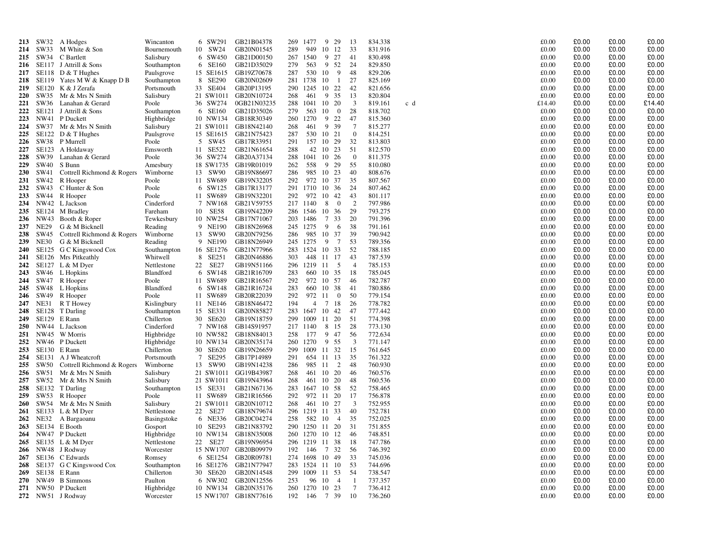| 213        |              | SW32 A Hodges                        | Wincanton              |    | 6 SW291   | GB21B04378                         | 269        | 1477              | 9<br>29               |                | 13                      | 834.338            |     | £0.00          | £0.00          | £0.00          | £0.00          |
|------------|--------------|--------------------------------------|------------------------|----|-----------|------------------------------------|------------|-------------------|-----------------------|----------------|-------------------------|--------------------|-----|----------------|----------------|----------------|----------------|
| 214        | SW33         | M White & Son                        | Bournemouth            |    | 10 SW24   | GB20N01545                         | 289        | 949               | 10<br>12              |                | 33                      | 831.916            |     | £0.00          | £0.00          | £0.00          | £0.00          |
| 215        |              | SW34 C Bartlett                      | Salisbury              |    | 6 SW450   | GB21D00150                         | 267        | 1540              | 9<br>27               |                | 41                      | 830.498            |     | £0.00          | £0.00          | £0.00          | £0.00          |
| 216        |              | SE117 J Attrill & Sons               | Southampton            |    | 6 SE160   | GB21D35029                         | 279        | 563               | 9                     | 52             | 24                      | 829.850            |     | £0.00          | £0.00          | £0.00          | £0.00          |
| 217        |              | SE118 D $<$ T Hughes                 | Paulsgrove             |    | 15 SE1615 | GB19Z70678                         | 287        | 530               | 10                    | - 9            | 48                      | 829.206            |     | £0.00          | £0.00          | £0.00          | £0.00          |
| 218        |              | SE119 Yates M W & Knapp D B          | Southampton            |    | 8 SE290   | GB20N02609                         | 281        | 1738              | 10                    | -1             | 27                      | 825.169            |     | £0.00          | £0.00          | £0.00          | £0.00          |
| 219        |              | SE120 K & J Zerafa                   | Portsmouth             |    | 33 SE404  | GB20P13195                         | 290        | 1245              | 10 22                 |                | 42                      | 821.656            |     | £0.00          | £0.00          | £0.00          | £0.00          |
| <b>220</b> |              | SW35 Mr & Mrs N Smith                | Salisbury              |    | 21 SW1011 | GB20N10724                         | 268        | 461               | 9 35                  |                | 13                      | 820.804            |     | £0.00          | £0.00          | £0.00          | £0.00          |
| 221        |              | SW36 Lanahan & Gerard                | Poole                  |    | 36 SW274  | 0GB21N03235                        | 288        | 1041              | 10 20                 |                | 3                       | 819.161            | c d | £14.40         | £0.00          | £0.00          | £14.40         |
| 222        | SE121        | J Attrill & Sons                     | Southampton            |    | 6 SE160   | GB21D35026                         | 279        | 563               | 10                    | $\overline{0}$ | 28                      | 818.702            |     | £0.00          | £0.00          | £0.00          | £0.00          |
| 223        |              | NW41 P Duckett                       | Highbridge             |    | 10 NW134  | GB18R30349                         | 260        | 1270              | 9 22                  |                | 47                      | 815.360            |     | £0.00          | £0.00          | £0.00          | £0.00          |
| 224        |              | SW37 Mr & Mrs N Smith                | Salisbury              |    |           | 21 SW1011 GB18N42140               | 268        | 461               | 9<br>39               |                | $7\phantom{.0}$         | 815.277            |     | £0.00          | £0.00          | £0.00          | £0.00          |
| 225        |              | SE122 D $<$ T Hughes                 | Paulsgrove             |    | 15 SE1615 | GB21N75423                         | 287        | 530               | 10 21                 |                | $\overline{0}$          | 814.251            |     | £0.00          | £0.00          | £0.00          | £0.00          |
| 226        |              | SW38 P Murrell                       | Poole                  |    | 5 SW45    | GB17R33951                         | 291        | 157               | 10<br>29              |                | 32                      | 813.803            |     | £0.00          | £0.00          | £0.00          | £0.00          |
| 227        |              | SE123 A Holdaway                     | Emsworth               |    | 11 SE522  | GB21N61654                         | 288        | 42                | 10 23                 |                | 51                      | 812.570            |     | £0.00          | £0.00          | £0.00          | £0.00          |
| 228        | SW39         | Lanahan & Gerard                     | Poole                  |    | 36 SW274  | GB20A37134                         | 288        | 1041              | 10<br>26              |                | $\overline{0}$          | 811.375            |     | £0.00          | £0.00          | £0.00          | £0.00          |
| 229        | SW40         | S Bunn                               | Amesbury               |    | 18 SW1735 | GB19R01019                         | 262        | 558               | 9 29                  |                | 55                      | 810.080            |     | £0.00          | £0.00          | £0.00          | £0.00          |
| <b>230</b> | SW41         | Cottrell Richmond & Rogers           | Wimborne               |    | 13 SW90   | GB19N86697                         | 286        | 985               | - 10<br>23            |                | 40                      | 808.676            |     | £0.00          | £0.00          | £0.00          | £0.00          |
| 231        | SW42         | R Hooper                             | Poole                  |    | 11 SW689  | GB19N32205                         | 292        |                   | 972 10 37             |                | 35                      | 807.567            |     | £0.00          | £0.00          | £0.00          | £0.00          |
| 232        | SW43         | C Hunter & Son                       | Poole                  |    | 6 SW125   | GB17R13177                         | 291        | 1710              | 10 36                 |                | 24                      | 807.462            |     | £0.00          | £0.00          | £0.00          | £0.00          |
| 233        | SW44         | R Hooper                             | Poole                  |    | 11 SW689  | GB19N32201                         | 292        | 972               | 10 42                 |                | 43                      | 801.117            |     | £0.00          | £0.00          | £0.00          | £0.00          |
| 234        |              | NW42 L Jackson                       | Cinderford             |    | 7 NW168   | GB21V59755                         |            | 217 1140          | 8                     | $\overline{0}$ | 2                       | 797.986            |     | £0.00          | £0.00          | £0.00          | £0.00          |
| 235        |              | SE124 M Bradley                      | Fareham                |    | 10 SE58   | GB19N42209                         | 286        | 1546 10 36        |                       |                | 29                      | 793.275            |     | £0.00          | £0.00          | £0.00          | £0.00          |
| 236        |              | NW43 Booth & Roper                   | Tewkesbury             |    | 10 NW254  | GB17N71067                         | 203        | 1486              | $7\phantom{.0}$<br>33 |                | 20                      | 791.396            |     | £0.00          | £0.00          | £0.00          | £0.00          |
| 237        | NE29         | G & M Bicknell                       | Reading                |    | 9 NE190   | GB18N26968                         |            | 245 1275          | 9                     | 6              | 38                      | 791.161            |     | £0.00          | £0.00          | £0.00          | £0.00          |
| 238        | SW45         | Cottrell Richmond & Rogers           | Wimborne               |    | 13 SW90   | GB20N79256                         | 286        | 985               | - 10<br>37            |                | 39                      | 790.942            |     | £0.00          | £0.00          | £0.00          | £0.00          |
| 239        | <b>NE30</b>  | G & M Bicknell                       | Reading                |    | 9 NE190   | GB18N26949                         |            | 245 1275          | 9                     | 7              | 53                      | 789.356            |     | £0.00          | £0.00          | £0.00          | £0.00          |
| <b>240</b> |              | SE125 G C Kingswood Cox              | Southampton            |    | 16 SE1276 | GB21N77966                         |            | 283 1524 10 33    |                       |                | -52                     | 788.185            |     | £0.00          | £0.00          | £0.00          | £0.00          |
| 241        |              | SE126 Mrs Pitkeathly                 | Whitwell               |    | 8 SE251   | GB20N46886                         | 303        |                   | 448 11 17             |                | 43                      | 787.539            |     | £0.00          | £0.00          | £0.00          | £0.00          |
| 242        |              | SE127 L & M Dyer                     | Nettlestone            | 22 | SE27      | GB19N51166                         | 296        | 1219 11           |                       | $\overline{5}$ | $\overline{4}$          | 785.153            |     | £0.00          | £0.00          | £0.00          | £0.00          |
| 243        |              | SW46 L Hopkins                       | Blandford              |    | 6 SW148   | GB21R16709                         | 283        | 660               | 10 35                 |                | 18                      | 785.045            |     | £0.00          | £0.00          | £0.00          | £0.00          |
| 244        |              | SW47 R Hooper                        | Poole                  |    | 11 SW689  | GB21R16567                         | 292        |                   | 972 10 57             |                | -46                     | 782.787            |     | £0.00          | £0.00          | £0.00          | £0.00          |
| 245        |              | SW48 L Hopkins                       | Blandford              |    | 6 SW148   | GB21R16724                         | 283        | 660               | 10 38                 |                | 41                      | 780.886            |     | £0.00          | £0.00          | £0.00          | £0.00          |
| 246        |              | SW49 R Hooper                        | Poole                  |    | 11 SW689  | GB20R22039                         | 292        | 972 11            |                       | $\bf{0}$       | 50                      | 779.154            |     | £0.00          | £0.00          | £0.00          | £0.00          |
| 247        | NE31         | R T Howey                            | Kislingbury            |    | 11 NE146  | GB18N46472                         | 194        | 4                 | 7 18                  |                | -26                     | 778.782            |     | £0.00          | £0.00          | £0.00          | £0.00          |
| 248        | SE128        | T Darling                            | Southampton            |    | 15 SE331  | GB20N85827                         | 283        | 1647 10 42        |                       |                | 47                      | 777.442            |     | £0.00          | £0.00          | £0.00          | £0.00          |
| 249        |              | SE129 E Rann                         | Chillerton             |    | 30 SE620  | GB19N18759                         | 299        | 1009              | 11 20                 |                | 51                      | 774.398            |     | £0.00          | £0.00          | £0.00          | £0.00          |
| 250        |              | NW44 L Jackson                       | Cinderford             |    | 7 NW168   | GB14S91957                         |            | 217 1140          | 8 15                  |                | 28                      | 773.130            |     | £0.00          | £0.00          | £0.00          | £0.00          |
| 251        | NW45         | W Morris                             | Highbridge             |    | 10 NW582  | GB18N84013                         | 258        | 177               | 9 47                  |                | 56                      | 772.634            |     | £0.00          | £0.00          | £0.00          | £0.00          |
| 252        |              | NW46 P Duckett                       | Highbridge             |    | 10 NW134  | GB20N35174                         | 260        | 1270              | 9 55                  |                | $\overline{\mathbf{3}}$ | 771.147            |     | £0.00          | £0.00          | £0.00          | £0.00          |
| 253        |              | SE130 E Rann                         | Chillerton             |    | 30 SE620  | GB19N26659                         | 299        | 1009 11 32        |                       |                | 15                      | 761.645            |     | £0.00          | £0.00          | £0.00          | £0.00          |
| 254        |              | SE131 A J Wheatcroft                 | Portsmouth             |    | 7 SE295   | GB17P14989                         | 291        | 654               | 11 13                 |                | 35                      | 761.322            |     | £0.00          | £0.00          | £0.00          | £0.00          |
| 255        | SW50         | Cottrell Richmond & Rogers           | Wimborne               |    | 13 SW90   | GB19N14238                         | 286        | 985               | -11                   | 2              | 48                      | 760.930            |     | £0.00          | £0.00          | £0.00<br>£0.00 | £0.00<br>£0.00 |
| 256        | SW51<br>SW52 | Mr & Mrs N Smith<br>Mr & Mrs N Smith | Salisbury<br>Salisbury |    | 21 SW1011 | GG19B43987<br>21 SW1011 GB19N43964 | 268        | 461               | 10 20<br>10 20        |                | -46<br>48               | 760.576<br>760.536 |     | £0.00<br>£0.00 | £0.00<br>£0.00 | £0.00          | £0.00          |
| 257<br>258 |              | SE132 T Darling                      |                        |    | 15 SE331  | GB21N67136                         | 268<br>283 | 461<br>1647 10 58 |                       |                | 52                      | 758.465            |     | £0.00          | £0.00          | £0.00          | £0.00          |
| 259        | SW53         | R Hooper                             | Southampton<br>Poole   |    | 11 SW689  | GB21R16566                         | 292        | 972               | 20<br>-11             |                | 17                      | 756.878            |     | £0.00          | £0.00          | £0.00          | £0.00          |
| <b>260</b> |              | SW54 Mr & Mrs N Smith                | Salisbury              |    | 21 SW1011 | GB20N10712                         | 268        | 461               | 10 27                 |                | 3                       | 752.955            |     | £0.00          | £0.00          | £0.00          | £0.00          |
| 261        |              | SE133 L & M Dyer                     | Nettlestone            |    | 22 SE27   | GB18N79674                         | 296        | 1219 11 33        |                       |                | 40                      | 752.781            |     | £0.00          | £0.00          | £0.00          | £0.00          |
| 262        |              | NE32 A Bargaoanu                     | Basingstoke            |    | 6 NE336   | GB20C04274                         | 258        | 582               | - 10                  | $\overline{4}$ | 35                      | 752.025            |     | £0.00          | £0.00          | £0.00          | £0.00          |
| 263        |              | SE134 E Booth                        | Gosport                |    | 10 SE293  | GB21N83792                         | 290        | 1250 11 20        |                       |                | 31                      | 751.855            |     | £0.00          | £0.00          | £0.00          | £0.00          |
| 264        |              | NW47 P Duckett                       | Highbridge             |    | 10 NW134  | GB18N35008                         | 260        | 1270              | 10 12                 |                | -46                     | 748.851            |     | £0.00          | £0.00          | £0.00          | £0.00          |
| 265        |              | SE135 L & M Dyer                     | Nettlestone            |    | 22 SE27   | GB19N96954                         | 296        | 1219 11 38        |                       |                | 18                      | 747.786            |     | £0.00          | £0.00          | £0.00          | £0.00          |
| 266        |              | NW48 J Rodway                        | Worcester              |    |           | 15 NW1707 GB20B09979               | 192        | 146               | 7 32                  |                | 56                      | 746.392            |     | £0.00          | £0.00          | £0.00          | £0.00          |
| 267        |              | SE136 C Edwards                      | Romsey                 |    | 6 SE1254  | GB20R09781                         |            | 274 1698 10 49    |                       |                | 33                      | 745.036            |     | £0.00          | £0.00          | £0.00          | £0.00          |
| 268        | SE137        | G C Kingswood Cox                    | Southampton            |    | 16 SE1276 | GB21N77947                         | 283        | 1524 11 10        |                       |                | 53                      | 744.696            |     | £0.00          | £0.00          | £0.00          | £0.00          |
| 269        |              | SE138 E Rann                         | Chillerton             |    | 30 SE620  | GB20N14548                         | 299        | 1009              | 11 53                 |                | 54                      | 738.547            |     | £0.00          | £0.00          | £0.00          | £0.00          |
| <b>270</b> |              | NW49 B Simmons                       | Paulton                |    | 6 NW302   | GB20N12556                         | 253        | 96                | 10                    | $\overline{4}$ | $\overline{1}$          | 737.357            |     | £0.00          | £0.00          | £0.00          | £0.00          |
| 271        |              | NW50 P Duckett                       | Highbridge             |    |           | 10 NW134 GB20N35176                | 260        | 1270              | 10<br>23              |                | 7                       | 736.412            |     | £0.00          | £0.00          | £0.00          | £0.00          |
|            |              | 272 NW51 J Rodway                    | Worcester              |    |           | 15 NW1707 GB18N77616               | 192        | 146               | 7 39                  |                | -10                     | 736.260            |     | £0.00          | £0.00          | £0.00          | £0.00          |
|            |              |                                      |                        |    |           |                                    |            |                   |                       |                |                         |                    |     |                |                |                |                |